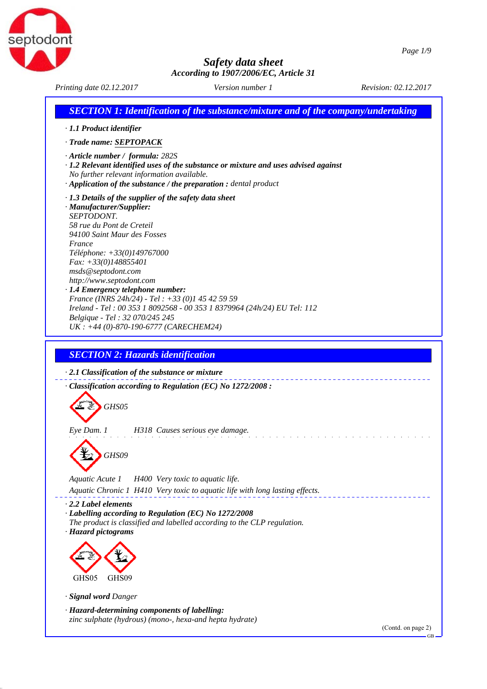

*Printing date 02.12.2017 Revision: 02.12.2017 Version number 1*

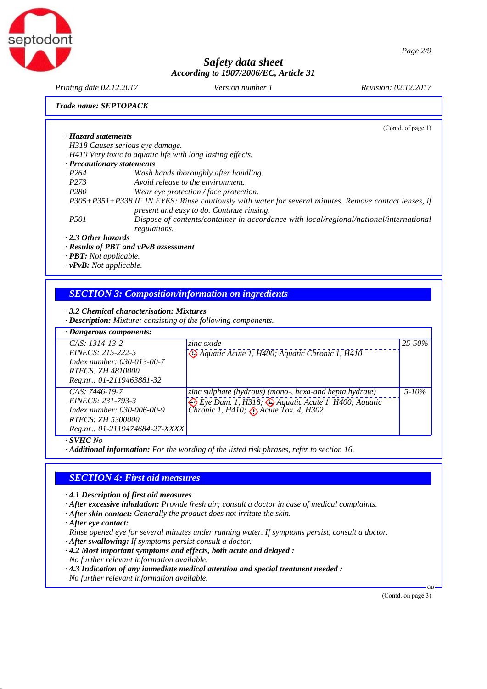



*Printing date 02.12.2017 Revision: 02.12.2017 Version number 1*

*Trade name: SEPTOPACK*

|                            |                                                                                                                                                    | (Cond. of page 1) |
|----------------------------|----------------------------------------------------------------------------------------------------------------------------------------------------|-------------------|
| · Hazard statements        |                                                                                                                                                    |                   |
|                            | H318 Causes serious eye damage.                                                                                                                    |                   |
|                            | H410 Very toxic to aquatic life with long lasting effects.                                                                                         |                   |
| · Precautionary statements |                                                                                                                                                    |                   |
| P <sub>264</sub>           | Wash hands thoroughly after handling.                                                                                                              |                   |
| P <sub>273</sub>           | Avoid release to the environment.                                                                                                                  |                   |
| P <sub>280</sub>           | Wear eye protection / face protection.                                                                                                             |                   |
|                            | P305+P351+P338 IF IN EYES: Rinse cautiously with water for several minutes. Remove contact lenses, if<br>present and easy to do. Continue rinsing. |                   |
| <i>P501</i>                | Dispose of contents/container in accordance with local/regional/national/international<br>regulations.                                             |                   |
| $2.0$ thou haranda         |                                                                                                                                                    |                   |

## *· 2.3 Other hazards*

- *· Results of PBT and vPvB assessment*
- *· PBT: Not applicable.*
- *· vPvB: Not applicable.*

## *SECTION 3: Composition/information on ingredients*

#### *· 3.2 Chemical characterisation: Mixtures*

*· Description: Mixture: consisting of the following components.*

| $\cdot$ Dangerous components:                                                                                                     |                                                                                                                                                        |             |
|-----------------------------------------------------------------------------------------------------------------------------------|--------------------------------------------------------------------------------------------------------------------------------------------------------|-------------|
| $CAS: 1314-13-2$<br>$EINECS: 215-222-5$<br>Index number: 030-013-00-7<br>RTECS: <i>ZH 4810000</i><br>Reg.nr.: 01-2119463881-32    | zinc oxide<br><sup>4</sup> Aquatic Acute 1, H400; Aquatic Chronic 1, H410                                                                              | $25 - 50\%$ |
| $CAS: 7446-19-7$<br>EINECS: 231-793-3<br>Index number: 030-006-00-9<br><i>RTECS: ZH 5300000</i><br>Reg.nr.: 01-2119474684-27-XXXX | zinc sulphate (hydrous) (mono-, hexa-and hepta hydrate)<br><i>Eye Dam. 1, H318; Aquatic Acute 1, H400; Aquatic Chronic 1, H410; Chate Tox. 4, H302</i> | $5 - 10\%$  |

*· SVHC No*

*· Additional information: For the wording of the listed risk phrases, refer to section 16.*

#### *SECTION 4: First aid measures*

- *· 4.1 Description of first aid measures*
- *· After excessive inhalation: Provide fresh air; consult a doctor in case of medical complaints.*
- *· After skin contact: Generally the product does not irritate the skin.*
- *· After eye contact:*
- *Rinse opened eye for several minutes under running water. If symptoms persist, consult a doctor.*
- *· After swallowing: If symptoms persist consult a doctor.*
- *· 4.2 Most important symptoms and effects, both acute and delayed : No further relevant information available.*
- *· 4.3 Indication of any immediate medical attention and special treatment needed :*
- *No further relevant information available.*

(Contd. on page 3)

GB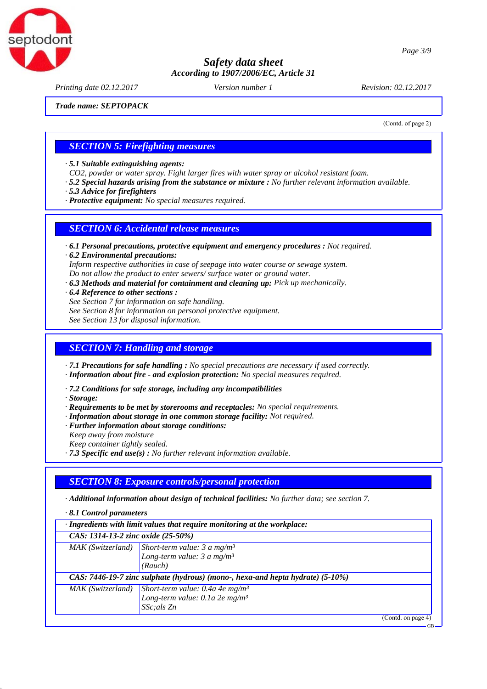

*Printing date 02.12.2017 Revision: 02.12.2017 Version number 1*

*Trade name: SEPTOPACK*

(Contd. of page 2)

GB

## *SECTION 5: Firefighting measures*

*· 5.1 Suitable extinguishing agents:*

*CO2, powder or water spray. Fight larger fires with water spray or alcohol resistant foam.*

- *· 5.2 Special hazards arising from the substance or mixture : No further relevant information available.*
- *· 5.3 Advice for firefighters*

*· Protective equipment: No special measures required.*

# *SECTION 6: Accidental release measures*

- *· 6.1 Personal precautions, protective equipment and emergency procedures : Not required.*
- *· 6.2 Environmental precautions: Inform respective authorities in case of seepage into water course or sewage system. Do not allow the product to enter sewers/ surface water or ground water.*
- *· 6.3 Methods and material for containment and cleaning up: Pick up mechanically.*
- *· 6.4 Reference to other sections : See Section 7 for information on safe handling. See Section 8 for information on personal protective equipment. See Section 13 for disposal information.*

# *SECTION 7: Handling and storage*

*· 7.1 Precautions for safe handling : No special precautions are necessary if used correctly.*

- *· Information about fire and explosion protection: No special measures required.*
- *· 7.2 Conditions for safe storage, including any incompatibilities*
- *· Storage:*
- *· Requirements to be met by storerooms and receptacles: No special requirements.*
- *· Information about storage in one common storage facility: Not required.*
- *· Further information about storage conditions:*
- *Keep away from moisture*
- *Keep container tightly sealed.*
- *· 7.3 Specific end use(s) : No further relevant information available.*

# *SECTION 8: Exposure controls/personal protection*

*· Additional information about design of technical facilities: No further data; see section 7.*

*· 8.1 Control parameters*

| $\cdot$ Ingredients with limit values that require monitoring at the workplace: |                                                                                                                              |  |
|---------------------------------------------------------------------------------|------------------------------------------------------------------------------------------------------------------------------|--|
| CAS: 1314-13-2 zinc oxide (25-50%)                                              |                                                                                                                              |  |
|                                                                                 | $\boxed{\text{MAX (Switzerland)} \begin{bmatrix} Short-term value: 3 a mg/m^3 \\ Long-term value: 3 a mg/m^3 \end{bmatrix}}$ |  |
|                                                                                 |                                                                                                                              |  |
|                                                                                 | (Rauch)                                                                                                                      |  |
| CAS: 7446-19-7 zinc sulphate (hydrous) (mono-, hexa-and hepta hydrate) (5-10%)  |                                                                                                                              |  |
| MAK (Switzerland)                                                               | Short-term value: $0.4a$ 4e mg/m <sup>3</sup>                                                                                |  |
|                                                                                 | Long-term value: $0.1a$ 2e mg/m <sup>3</sup>                                                                                 |  |
|                                                                                 | SSc; als Zn                                                                                                                  |  |
|                                                                                 | (Contd. on page 4)                                                                                                           |  |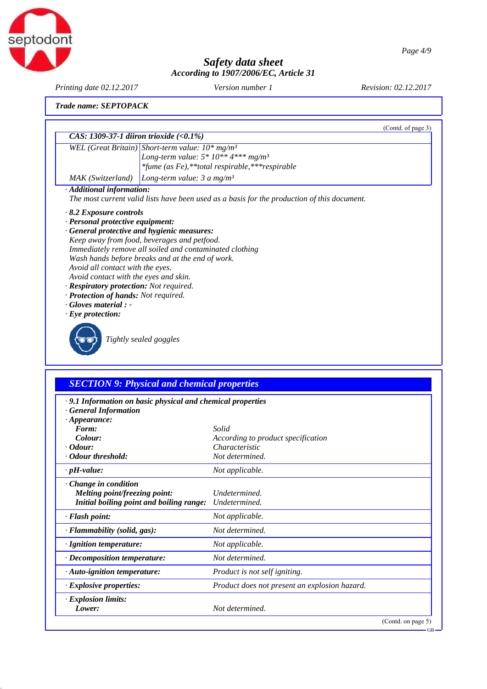

*Printing date 02.12.2017 Revision: 02.12.2017 Version number 1*

*Trade name: SEPTOPACK*

|                                             |                                                                                             | (Contd. of page 3) |  |  |
|---------------------------------------------|---------------------------------------------------------------------------------------------|--------------------|--|--|
| CAS: 1309-37-1 diiron trioxide $(<0.1\%)$   |                                                                                             |                    |  |  |
|                                             | WEL (Great Britain) Short-term value: $10^*$ mg/m <sup>3</sup>                              |                    |  |  |
|                                             | Long-term value: $5 * 10 ** 4***$ mg/m <sup>3</sup>                                         |                    |  |  |
|                                             | *fume (as Fe), **total respirable, *** respirable                                           |                    |  |  |
| MAK (Switzerland)                           | <i>Long-term value:</i> 3 a mg/m <sup>3</sup>                                               |                    |  |  |
| · Additional information:                   |                                                                                             |                    |  |  |
|                                             | The most current valid lists have been used as a basis for the production of this document. |                    |  |  |
| $\cdot$ 8.2 Exposure controls               |                                                                                             |                    |  |  |
| · Personal protective equipment:            |                                                                                             |                    |  |  |
| · General protective and hygienic measures: |                                                                                             |                    |  |  |
|                                             | Keep away from food, beverages and petfood.                                                 |                    |  |  |
|                                             | Immediately remove all soiled and contaminated clothing                                     |                    |  |  |
|                                             | Wash hands before breaks and at the end of work.                                            |                    |  |  |
| Avoid all contact with the eyes.            |                                                                                             |                    |  |  |
|                                             | Avoid contact with the eyes and skin.                                                       |                    |  |  |
| · Respiratory protection: Not required.     |                                                                                             |                    |  |  |
| · Protection of hands: Not required.        |                                                                                             |                    |  |  |
| $\cdot$ Gloves material : -                 |                                                                                             |                    |  |  |
| $\cdot$ Eye protection:                     |                                                                                             |                    |  |  |
|                                             | Tightly sealed goggles                                                                      |                    |  |  |

# *SECTION 9: Physical and chemical properties*

| · 9.1 Information on basic physical and chemical properties |  |  |  |
|-------------------------------------------------------------|--|--|--|
|                                                             |  |  |  |

*· General Information*

| $\cdot$ Appearance:                      |                                               |
|------------------------------------------|-----------------------------------------------|
| Form:                                    | Solid                                         |
| Colour:                                  | According to product specification            |
| $\cdot$ Odour:                           | Characteristic                                |
| · Odour threshold:                       | Not determined.                               |
| $\cdot$ pH-value:                        | Not applicable.                               |
| Change in condition                      |                                               |
| Melting point/freezing point:            | Undetermined.                                 |
| Initial boiling point and boiling range: | Undetermined.                                 |
| · Flash point:                           | Not applicable.                               |
| $\cdot$ Flammability (solid, gas):       | Not determined.                               |
| $\cdot$ Ignition temperature:            | Not applicable.                               |
| $\cdot$ Decomposition temperature:       | Not determined.                               |
| $\cdot$ Auto-ignition temperature:       | <i>Product is not self igniting.</i>          |
| $\cdot$ Explosive properties:            | Product does not present an explosion hazard. |
| · Explosion limits:                      |                                               |
| Lower:                                   | Not determined.                               |
|                                          | (Contd. on page 5)                            |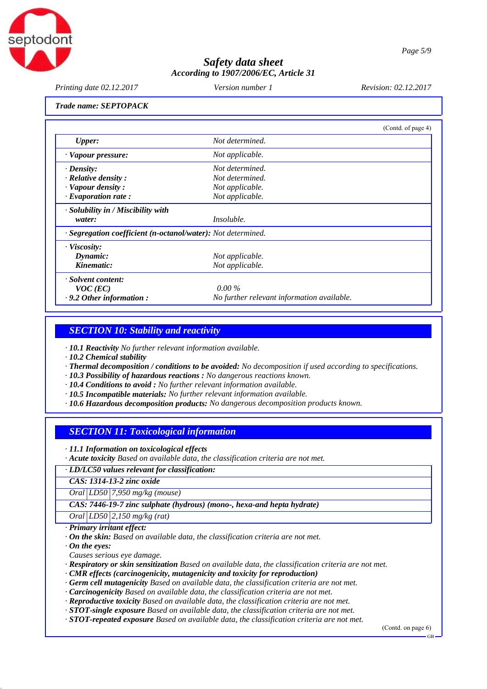

*Printing date 02.12.2017 Revision: 02.12.2017 Version number 1*

*Trade name: SEPTOPACK*

|                                                              |                                            | (Contd. of page 4) |
|--------------------------------------------------------------|--------------------------------------------|--------------------|
| <b>Upper:</b>                                                | Not determined.                            |                    |
| · Vapour pressure:                                           | Not applicable.                            |                    |
| $\cdot$ Density:                                             | Not determined.                            |                    |
| $\cdot$ Relative density :                                   | Not determined.                            |                    |
| $\cdot$ Vapour density :                                     | Not applicable.                            |                    |
| $\cdot$ Evaporation rate:                                    | Not applicable.                            |                    |
| $\cdot$ Solubility in / Miscibility with                     |                                            |                    |
| water:                                                       | <i>Insoluble.</i>                          |                    |
| · Segregation coefficient (n-octanol/water): Not determined. |                                            |                    |
| · Viscosity:                                                 |                                            |                    |
| Dynamic:                                                     | Not applicable.                            |                    |
| Kinematic:                                                   | Not applicable.                            |                    |
| · Solvent content:                                           |                                            |                    |
| $VOC$ (EC)                                                   | $0.00\%$                                   |                    |
| $\cdot$ 9.2 Other information:                               | No further relevant information available. |                    |

## *SECTION 10: Stability and reactivity*

*· 10.1 Reactivity No further relevant information available.*

*· 10.2 Chemical stability*

- *· Thermal decomposition / conditions to be avoided: No decomposition if used according to specifications.*
- *· 10.3 Possibility of hazardous reactions : No dangerous reactions known.*

*· 10.4 Conditions to avoid : No further relevant information available.*

- *· 10.5 Incompatible materials: No further relevant information available.*
- *· 10.6 Hazardous decomposition products: No dangerous decomposition products known.*

## *SECTION 11: Toxicological information*

*· 11.1 Information on toxicological effects*

*· Acute toxicity Based on available data, the classification criteria are not met.*

*· LD/LC50 values relevant for classification:*

*CAS: 1314-13-2 zinc oxide*

*Oral LD50 7,950 mg/kg (mouse)*

*CAS: 7446-19-7 zinc sulphate (hydrous) (mono-, hexa-and hepta hydrate)*

*Oral LD50 2,150 mg/kg (rat)*

*· Primary irritant effect:*

*· On the skin: Based on available data, the classification criteria are not met.*

*· On the eyes:*

*Causes serious eye damage.*

*· Respiratory or skin sensitization Based on available data, the classification criteria are not met.*

*· CMR effects (carcinogenicity, mutagenicity and toxicity for reproduction)*

*· Germ cell mutagenicity Based on available data, the classification criteria are not met.*

*· Carcinogenicity Based on available data, the classification criteria are not met.*

*· Reproductive toxicity Based on available data, the classification criteria are not met.*

*· STOT-single exposure Based on available data, the classification criteria are not met.*

*· STOT-repeated exposure Based on available data, the classification criteria are not met.*

(Contd. on page 6)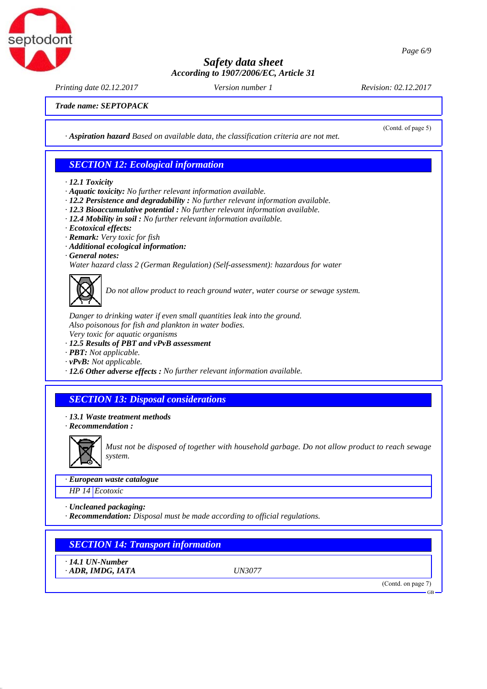



*Printing date 02.12.2017 Revision: 02.12.2017 Version number 1*

(Contd. of page 5)

*Trade name: SEPTOPACK*

*· Aspiration hazard Based on available data, the classification criteria are not met.*

#### *SECTION 12: Ecological information*

- *· 12.1 Toxicity*
- *· Aquatic toxicity: No further relevant information available.*
- *· 12.2 Persistence and degradability : No further relevant information available.*
- *· 12.3 Bioaccumulative potential : No further relevant information available.*
- *· 12.4 Mobility in soil : No further relevant information available.*
- *· Ecotoxical effects:*
- *· Remark: Very toxic for fish*
- *· Additional ecological information:*
- *· General notes:*

*Water hazard class 2 (German Regulation) (Self-assessment): hazardous for water*



*Do not allow product to reach ground water, water course or sewage system.*

*Danger to drinking water if even small quantities leak into the ground. Also poisonous for fish and plankton in water bodies. Very toxic for aquatic organisms*

- 
- *· 12.5 Results of PBT and vPvB assessment*
- *· PBT: Not applicable.*
- *· vPvB: Not applicable.*
- *· 12.6 Other adverse effects : No further relevant information available.*

# *SECTION 13: Disposal considerations*

- *· 13.1 Waste treatment methods*
- *· Recommendation :*



*Must not be disposed of together with household garbage. Do not allow product to reach sewage system.*

#### *· European waste catalogue*

*HP 14 Ecotoxic*

- *· Uncleaned packaging:*
- *· Recommendation: Disposal must be made according to official regulations.*

# *SECTION 14: Transport information*

*· 14.1 UN-Number*

*· ADR, IMDG, IATA UN3077*

(Contd. on page 7)

GB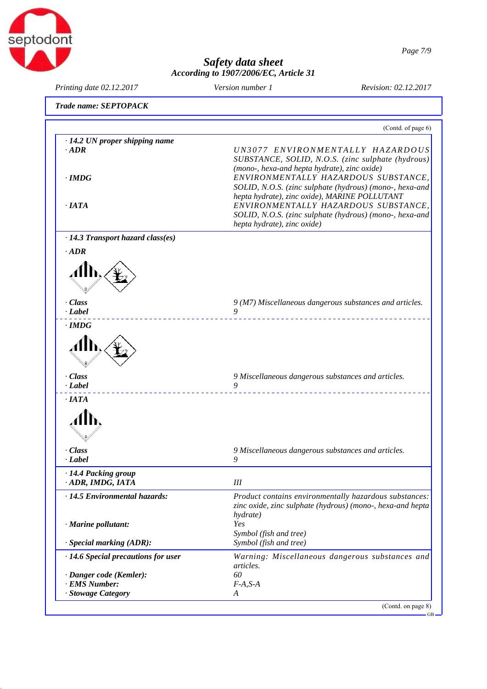

*Page 7/9*

(Contd. of page 6)

# *Safety data sheet According to 1907/2006/EC, Article 31*

*Printing date 02.12.2017 Revision: 02.12.2017 Version number 1*

*· IATA*

◢

*Trade name: SEPTOPACK · 14.2 UN proper shipping name · ADR UN3077 ENVIRONMENTALLY HAZARDOUS SUBSTANCE, SOLID, N.O.S. (zinc sulphate (hydrous) (mono-, hexa-and hepta hydrate), zinc oxide) · IMDG ENVIRONMENTALLY HAZARDOUS SUBSTANCE, SOLID, N.O.S. (zinc sulphate (hydrous) (mono-, hexa-and hepta hydrate), zinc oxide), MARINE POLLUTANT · IATA ENVIRONMENTALLY HAZARDOUS SUBSTANCE, SOLID, N.O.S. (zinc sulphate (hydrous) (mono-, hexa-and hepta hydrate), zinc oxide) · 14.3 Transport hazard class(es) · ADR*  $\boldsymbol{\mathcal{A}}$ *· Class 9 (M7) Miscellaneous dangerous substances and articles. · Label 9 · IMDG* A

# *· Class 9 Miscellaneous dangerous substances and articles. · Label 9 · Class 9 Miscellaneous dangerous substances and articles. · Label 9*

| · 14.4 Packing group<br>· ADR, IMDG, IATA | Ш                                                                                                                                |
|-------------------------------------------|----------------------------------------------------------------------------------------------------------------------------------|
| $\cdot$ 14.5 Environmental hazards:       | Product contains environmentally hazardous substances:<br>zinc oxide, zinc sulphate (hydrous) (mono-, hexa-and hepta<br>hydrate) |
| $\cdot$ Marine pollutant:                 | Yes<br>Symbol (fish and tree)                                                                                                    |
| $\cdot$ Special marking (ADR):            | Symbol (fish and tree)                                                                                                           |
| $\cdot$ 14.6 Special precautions for user | Warning: Miscellaneous dangerous substances and<br><i>articles.</i>                                                              |
| $\cdot$ Danger code (Kemler):             | 60                                                                                                                               |
| · EMS Number:                             | $F-A.S-A$                                                                                                                        |
| · Stowage Category                        | A                                                                                                                                |
|                                           | $C_{out}$ and $m_{max}$                                                                                                          |

(Contd. on page 8)

GB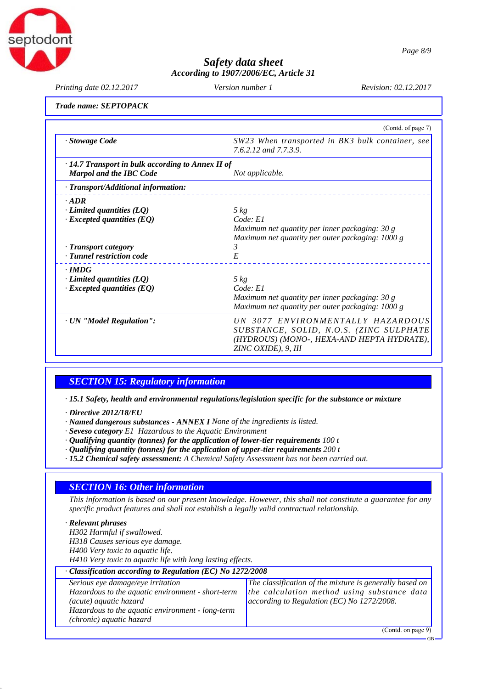

GB

# *Safety data sheet According to 1907/2006/EC, Article 31*

*Printing date 02.12.2017 Revision: 02.12.2017 Version number 1*

#### *Trade name: SEPTOPACK*

|                                                         | (Contd. of page 7)                                                        |
|---------------------------------------------------------|---------------------------------------------------------------------------|
| · Stowage Code                                          | SW23 When transported in BK3 bulk container, see<br>7.6.2.12 and 7.7.3.9. |
| $\cdot$ 14.7 Transport in bulk according to Annex II of |                                                                           |
| <b>Marpol and the IBC Code</b>                          | Not applicable.                                                           |
| · Transport/Additional information:                     |                                                                           |
| $\cdot$ ADR                                             |                                                                           |
| $\cdot$ Limited quantities (LQ)                         | $5 \ kg$                                                                  |
| $\cdot$ Excepted quantities (EQ)                        | Code: El                                                                  |
|                                                         | Maximum net quantity per inner packaging: 30 g                            |
|                                                         | Maximum net quantity per outer packaging: 1000 g                          |
| · Transport category                                    | 3                                                                         |
| · Tunnel restriction code                               | E                                                                         |
| $\cdot$ IMDG                                            |                                                                           |
| $\cdot$ Limited quantities (LQ)                         | $5 \ kg$                                                                  |
| $\cdot$ Excepted quantities (EQ)                        | Code: E1                                                                  |
|                                                         | Maximum net quantity per inner packaging: 30 g                            |
|                                                         | Maximum net quantity per outer packaging: 1000 g                          |
| · UN "Model Regulation":                                | UN 3077 ENVIRONMENTALLY HAZARDOUS                                         |
|                                                         | SUBSTANCE, SOLID, N.O.S. (ZINC SULPHATE                                   |
|                                                         | (HYDROUS) (MONO-, HEXA-AND HEPTA HYDRATE),                                |
|                                                         | ZINC OXIDE), 9, III                                                       |

# *SECTION 15: Regulatory information*

*· 15.1 Safety, health and environmental regulations/legislation specific for the substance or mixture*

*· Directive 2012/18/EU*

- *· Named dangerous substances ANNEX I None of the ingredients is listed.*
- *· Seveso category E1 Hazardous to the Aquatic Environment*
- *· Qualifying quantity (tonnes) for the application of lower-tier requirements 100 t*
- *· Qualifying quantity (tonnes) for the application of upper-tier requirements 200 t*
- *· 15.2 Chemical safety assessment: A Chemical Safety Assessment has not been carried out.*

# *SECTION 16: Other information*

*This information is based on our present knowledge. However, this shall not constitute a guarantee for any specific product features and shall not establish a legally valid contractual relationship.*

| · Relevant phrases                                         |                                                         |  |  |
|------------------------------------------------------------|---------------------------------------------------------|--|--|
| H302 Harmful if swallowed.                                 |                                                         |  |  |
| H318 Causes serious eye damage.                            |                                                         |  |  |
| H400 Very toxic to aquatic life.                           |                                                         |  |  |
| H410 Very toxic to aquatic life with long lasting effects. |                                                         |  |  |
| Classification according to Regulation (EC) No 1272/2008   |                                                         |  |  |
| Serious eye damage/eye irritation                          | The classification of the mixture is generally based on |  |  |
| Hazardous to the aquatic environment - short-term          | the calculation method using substance data             |  |  |
| (acute) aquatic hazard                                     | according to Regulation (EC) No 1272/2008.              |  |  |
| Hazardous to the aquatic environment - long-term           |                                                         |  |  |
| (chronic) aquatic hazard                                   |                                                         |  |  |
|                                                            | (Contd. on page 9)                                      |  |  |